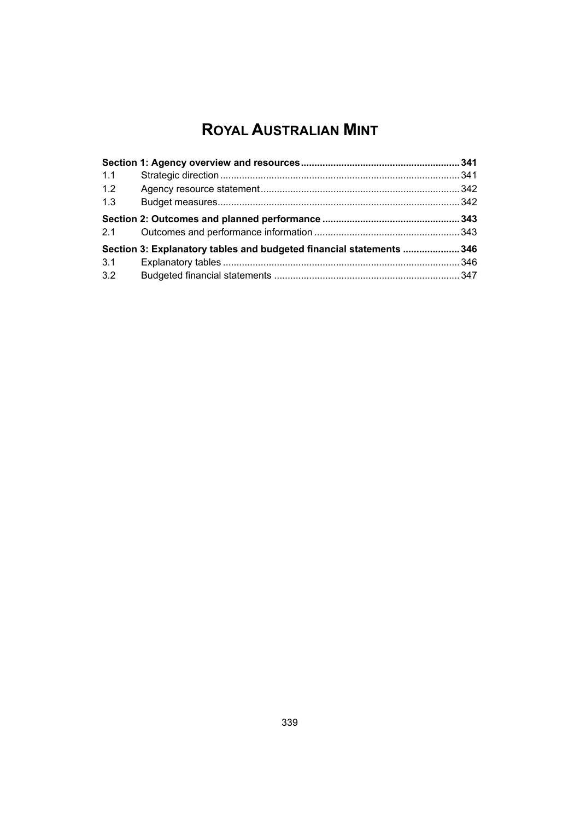# **ROYAL AUSTRALIAN MINT**

| 1.1 |                                                                     |  |
|-----|---------------------------------------------------------------------|--|
| 1.2 |                                                                     |  |
| 1.3 |                                                                     |  |
| 2.1 |                                                                     |  |
|     | Section 3: Explanatory tables and budgeted financial statements 346 |  |
| 3.1 |                                                                     |  |
| 3.2 |                                                                     |  |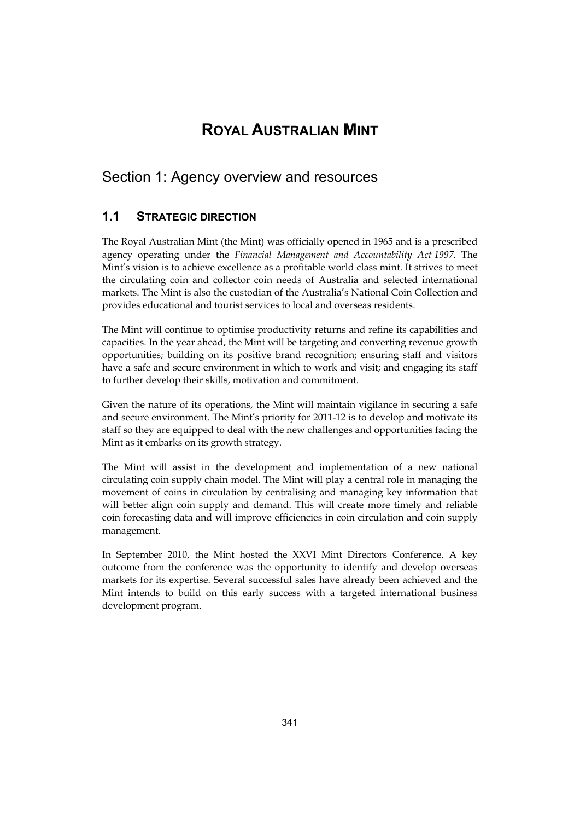# **ROYAL AUSTRALIAN MINT**

# <span id="page-2-0"></span>Section 1: Agency overview and resources

# **1.1 STRATEGIC DIRECTION**

The Royal Australian Mint (the Mint) was officially opened in 1965 and is a prescribed agency operating under the *Financial Management and Accountability Act 1997.* The Mint's vision is to achieve excellence as a profitable world class mint. It strives to meet the circulating coin and collector coin needs of Australia and selected international markets. The Mint is also the custodian of the Australia's National Coin Collection and provides educational and tourist services to local and overseas residents.

The Mint will continue to optimise productivity returns and refine its capabilities and capacities. In the year ahead, the Mint will be targeting and converting revenue growth opportunities; building on its positive brand recognition; ensuring staff and visitors have a safe and secure environment in which to work and visit; and engaging its staff to further develop their skills, motivation and commitment.

Given the nature of its operations, the Mint will maintain vigilance in securing a safe and secure environment. The Mint's priority for 2011-12 is to develop and motivate its staff so they are equipped to deal with the new challenges and opportunities facing the Mint as it embarks on its growth strategy.

The Mint will assist in the development and implementation of a new national circulating coin supply chain model. The Mint will play a central role in managing the movement of coins in circulation by centralising and managing key information that will better align coin supply and demand. This will create more timely and reliable coin forecasting data and will improve efficiencies in coin circulation and coin supply management.

In September 2010, the Mint hosted the XXVI Mint Directors Conference. A key outcome from the conference was the opportunity to identify and develop overseas markets for its expertise. Several successful sales have already been achieved and the Mint intends to build on this early success with a targeted international business development program.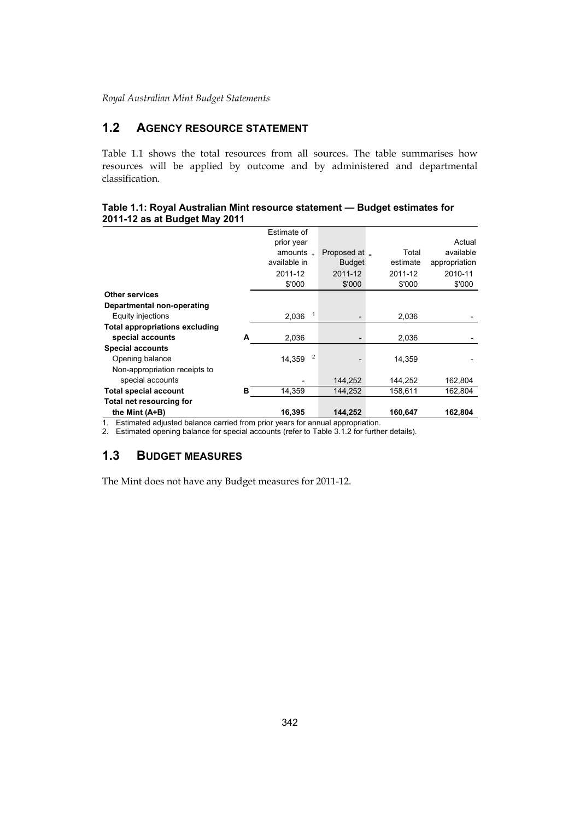# **1.2 AGENCY RESOURCE STATEMENT**

Table 1.1 shows the total resources from all sources. The table summarises how resources will be applied by outcome and by administered and departmental classification.

#### **Table 1.1: Royal Australian Mint resource statement — Budget estimates for 2011-12 as at Budget May 2011**

|                                                                              |   | Estimate of    |               |          |               |
|------------------------------------------------------------------------------|---|----------------|---------------|----------|---------------|
|                                                                              |   | prior year     |               |          | Actual        |
|                                                                              |   | amounts $\Box$ | Proposed at _ | Total    | available     |
|                                                                              |   | available in   | <b>Budget</b> | estimate | appropriation |
|                                                                              |   | 2011-12        | 2011-12       | 2011-12  | 2010-11       |
|                                                                              |   | \$'000         | \$'000        | \$'000   | \$'000        |
| <b>Other services</b>                                                        |   |                |               |          |               |
| Departmental non-operating                                                   |   |                |               |          |               |
| Equity injections                                                            |   | 1<br>2,036     |               | 2,036    |               |
| <b>Total appropriations excluding</b>                                        |   |                |               |          |               |
| special accounts                                                             | А | 2,036          |               | 2,036    |               |
| <b>Special accounts</b>                                                      |   |                |               |          |               |
| Opening balance                                                              |   | 2<br>14.359    |               | 14,359   |               |
| Non-appropriation receipts to                                                |   |                |               |          |               |
| special accounts                                                             |   |                | 144,252       | 144,252  | 162,804       |
| <b>Total special account</b>                                                 | в | 14,359         | 144,252       | 158,611  | 162,804       |
| Total net resourcing for                                                     |   |                |               |          |               |
| the Mint (A+B)                                                               |   | 16.395         | 144,252       | 160,647  | 162,804       |
| Estimated adjusted balance carried from prior vegre for annual appropriation |   |                |               |          |               |

1. Estimated adjusted balance carried from prior years for annual appropriation.

2. Estimated opening balance for special accounts (refer to Table 3.1.2 for further details).

## **1.3 BUDGET MEASURES**

The Mint does not have any Budget measures for 2011-12.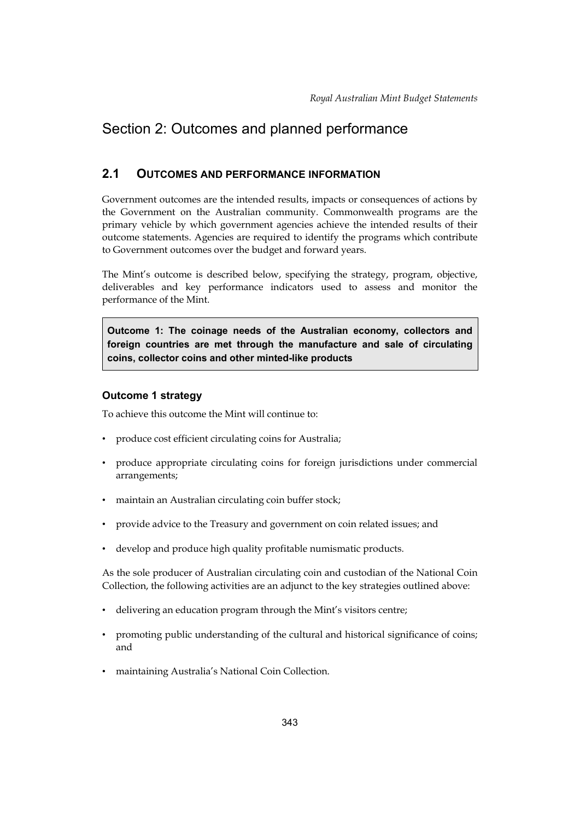# <span id="page-4-0"></span>Section 2: Outcomes and planned performance

## **2.1 OUTCOMES AND PERFORMANCE INFORMATION**

 Government outcomes are the intended results, impacts or consequences of actions by the Government on the Australian community. Commonwealth programs are the primary vehicle by which government agencies achieve the intended results of their outcome statements. Agencies are required to identify the programs which contribute to Government outcomes over the budget and forward years.

The Mint's outcome is described below, specifying the strategy, program, objective, deliverables and key performance indicators used to assess and monitor the performance of the Mint.

**Outcome 1: The coinage needs of the Australian economy, collectors and foreign countries are met through the manufacture and sale of circulating coins, collector coins and other minted-like products** 

## **Outcome 1 strategy**

To achieve this outcome the Mint will continue to:

- • produce cost efficient circulating coins for Australia;
- • produce appropriate circulating coins for foreign jurisdictions under commercial arrangements;
- maintain an Australian circulating coin buffer stock;
- provide advice to the Treasury and government on coin related issues; and
- develop and produce high quality profitable numismatic products.

As the sole producer of Australian circulating coin and custodian of the National Coin Collection, the following activities are an adjunct to the key strategies outlined above:

- delivering an education program through the Mint's visitors centre;
- • promoting public understanding of the cultural and historical significance of coins; and
- maintaining Australia's National Coin Collection.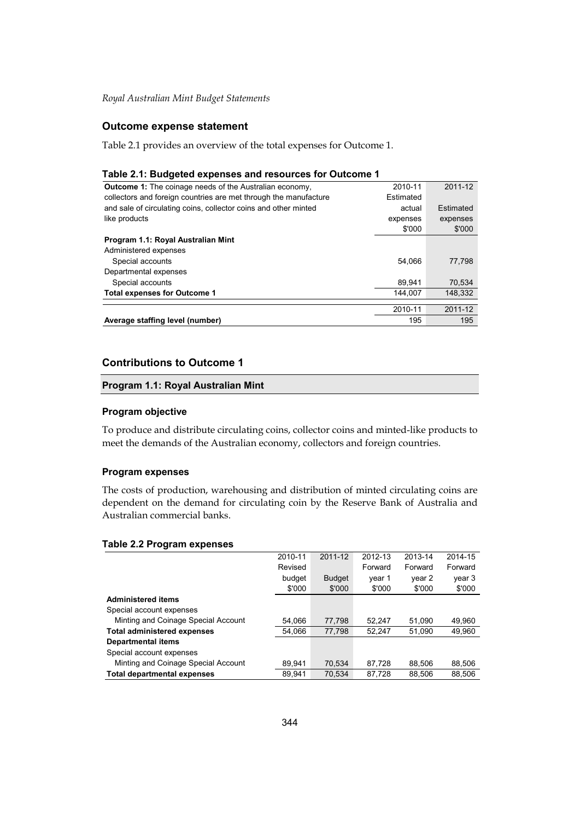## **Outcome expense statement**

Table 2.1 provides an overview of the total expenses for Outcome 1.

#### **Table 2.1: Budgeted expenses and resources for Outcome 1**

| <b>Outcome 1:</b> The coinage needs of the Australian economy,   | 2010-11   | 2011-12   |
|------------------------------------------------------------------|-----------|-----------|
| collectors and foreign countries are met through the manufacture | Estimated |           |
| and sale of circulating coins, collector coins and other minted  | actual    | Estimated |
| like products                                                    | expenses  | expenses  |
|                                                                  | \$'000    | \$'000    |
| Program 1.1: Royal Australian Mint                               |           |           |
| Administered expenses                                            |           |           |
| Special accounts                                                 | 54.066    | 77,798    |
| Departmental expenses                                            |           |           |
| Special accounts                                                 | 89.941    | 70.534    |
| <b>Total expenses for Outcome 1</b>                              | 144.007   | 148.332   |
|                                                                  |           |           |
|                                                                  | 2010-11   | 2011-12   |
| Average staffing level (number)                                  | 195       | 195       |

#### **Contributions to Outcome 1**

#### **Program 1.1: Royal Australian Mint**

#### **Program objective**

To produce and distribute circulating coins, collector coins and minted-like products to meet the demands of the Australian economy, collectors and foreign countries.

#### **Program expenses**

The costs of production, warehousing and distribution of minted circulating coins are dependent on the demand for circulating coin by the Reserve Bank of Australia and Australian commercial banks.

#### **Table 2.2 Program expenses**

|                                     | 2010-11 | 2011-12       | 2012-13 | 2013-14 | 2014-15 |
|-------------------------------------|---------|---------------|---------|---------|---------|
|                                     | Revised |               | Forward | Forward | Forward |
|                                     | budget  | <b>Budget</b> | year 1  | year 2  | year 3  |
|                                     | \$'000  | \$'000        | \$'000  | \$'000  | \$'000  |
| <b>Administered items</b>           |         |               |         |         |         |
| Special account expenses            |         |               |         |         |         |
| Minting and Coinage Special Account | 54,066  | 77,798        | 52.247  | 51.090  | 49.960  |
| <b>Total administered expenses</b>  | 54.066  | 77,798        | 52,247  | 51.090  | 49,960  |
| <b>Departmental items</b>           |         |               |         |         |         |
| Special account expenses            |         |               |         |         |         |
| Minting and Coinage Special Account | 89,941  | 70.534        | 87.728  | 88.506  | 88,506  |
| <b>Total departmental expenses</b>  | 89.941  | 70.534        | 87,728  | 88.506  | 88.506  |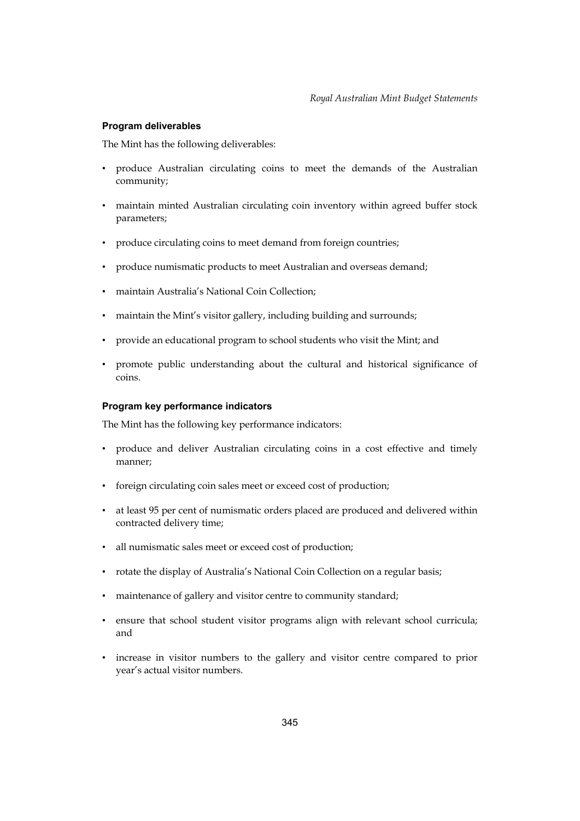## **Program deliverables**

The Mint has the following deliverables:

- produce Australian circulating coins to meet the demands of the Australian community;
- maintain minted Australian circulating coin inventory within agreed buffer stock parameters;
- produce circulating coins to meet demand from foreign countries;
- produce numismatic products to meet Australian and overseas demand;
- maintain Australia's National Coin Collection;
- maintain the Mint's visitor gallery, including building and surrounds;
- provide an educational program to school students who visit the Mint; and
- promote public understanding about the cultural and historical significance of coins.

## **Program key performance indicators**

The Mint has the following key performance indicators:

- • produce and deliver Australian circulating coins in a cost effective and timely manner;
- foreign circulating coin sales meet or exceed cost of production;
- • at least 95 per cent of numismatic orders placed are produced and delivered within contracted delivery time;
- • all numismatic sales meet or exceed cost of production;
- rotate the display of Australia's National Coin Collection on a regular basis;
- maintenance of gallery and visitor centre to community standard;
- • ensure that school student visitor programs align with relevant school curricula; and
- • increase in visitor numbers to the gallery and visitor centre compared to prior year's actual visitor numbers.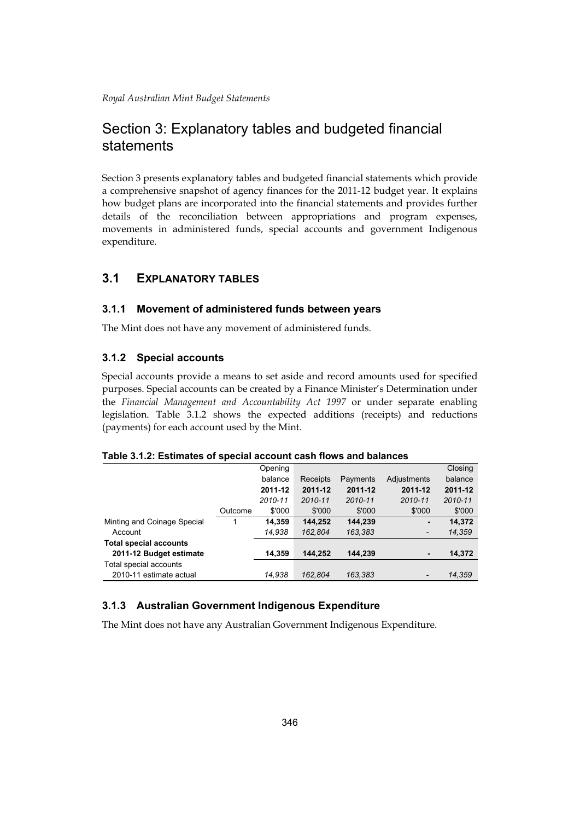# Section 3: Explanatory tables and budgeted financial statements

Section 3 presents explanatory tables and budgeted financial statements which provide a comprehensive snapshot of agency finances for the 2011-12 budget year. It explains how budget plans are incorporated into the financial statements and provides further details of the reconciliation between appropriations and program expenses, movements in administered funds, special accounts and government Indigenous expenditure.

# **3.1 EXPLANATORY TABLES**

## **3.1.1 Movement of administered funds between years**

The Mint does not have any movement of administered funds.

## **3.1.2 Special accounts**

Special accounts provide a means to set aside and record amounts used for specified purposes. Special accounts can be created by a Finance Minister's Determination under the *Financial Management and Accountability Act 1997* or under separate enabling legislation. Table 3.1.2 shows the expected additions (receipts) and reductions (payments) for each account used by the Mint.

#### **Table 3.1.2: Estimates of special account cash flows and balances**

|                               |         | Opening |          |          |             | Closing |
|-------------------------------|---------|---------|----------|----------|-------------|---------|
|                               |         | balance | Receipts | Payments | Adjustments | balance |
|                               |         | 2011-12 | 2011-12  | 2011-12  | 2011-12     | 2011-12 |
|                               |         | 2010-11 | 2010-11  | 2010-11  | 2010-11     | 2010-11 |
|                               | Outcome | \$'000  | \$'000   | \$'000   | \$'000      | \$'000  |
| Minting and Coinage Special   |         | 14,359  | 144.252  | 144.239  | ۰           | 14,372  |
| Account                       |         | 14,938  | 162,804  | 163,383  | -           | 14,359  |
| <b>Total special accounts</b> |         |         |          |          |             |         |
| 2011-12 Budget estimate       |         | 14.359  | 144.252  | 144.239  | ۰           | 14,372  |
| Total special accounts        |         |         |          |          |             |         |
| 2010-11 estimate actual       |         | 14,938  | 162.804  | 163,383  |             | 14,359  |

## **3.1.3 Australian Government Indigenous Expenditure**

The Mint does not have any Australian Government Indigenous Expenditure.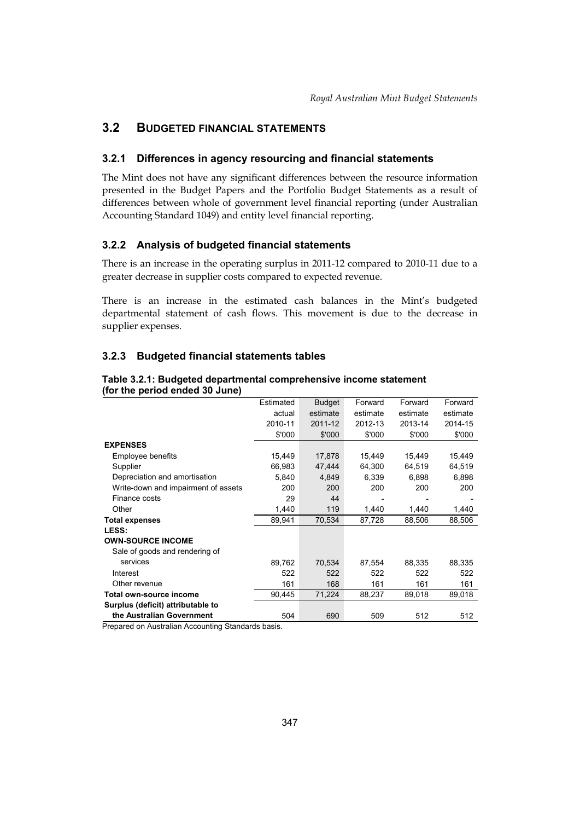# **3.2 BUDGETED FINANCIAL STATEMENTS**

## **3.2.1 Differences in agency resourcing and financial statements**

 presented in the Budget Papers and the Portfolio Budget Statements as a result of The Mint does not have any significant differences between the resource information differences between whole of government level financial reporting (under Australian Accounting Standard 1049) and entity level financial reporting.

## **3.2.2 Analysis of budgeted financial statements**

There is an increase in the operating surplus in 2011-12 compared to 2010-11 due to a greater decrease in supplier costs compared to expected revenue.

There is an increase in the estimated cash balances in the Mint's budgeted departmental statement of cash flows. This movement is due to the decrease in supplier expenses.

## **3.2.3 Budgeted financial statements tables**

| Estimated | <b>Budget</b> | Forward  | Forward  | Forward  |
|-----------|---------------|----------|----------|----------|
| actual    | estimate      | estimate | estimate | estimate |
| 2010-11   | 2011-12       | 2012-13  | 2013-14  | 2014-15  |
| \$'000    | \$'000        | \$'000   | \$'000   | \$'000   |
|           |               |          |          |          |
| 15,449    | 17,878        | 15,449   | 15,449   | 15,449   |
| 66,983    | 47,444        | 64,300   | 64,519   | 64,519   |
| 5,840     | 4,849         | 6,339    | 6,898    | 6,898    |
| 200       | 200           | 200      | 200      | 200      |
| 29        | 44            |          |          |          |
| 1,440     | 119           | 1,440    | 1,440    | 1,440    |
| 89,941    | 70,534        | 87,728   | 88,506   | 88,506   |
|           |               |          |          |          |
|           |               |          |          |          |
|           |               |          |          |          |
| 89,762    | 70,534        | 87,554   | 88,335   | 88,335   |
| 522       | 522           | 522      | 522      | 522      |
| 161       | 168           | 161      | 161      | 161      |
| 90,445    | 71,224        | 88,237   | 89,018   | 89,018   |
|           |               |          |          |          |
| 504       | 690           | 509      | 512      | 512      |
|           |               |          |          |          |

#### **Table 3.2.1: Budgeted departmental comprehensive income statement (for the period ended 30 June)**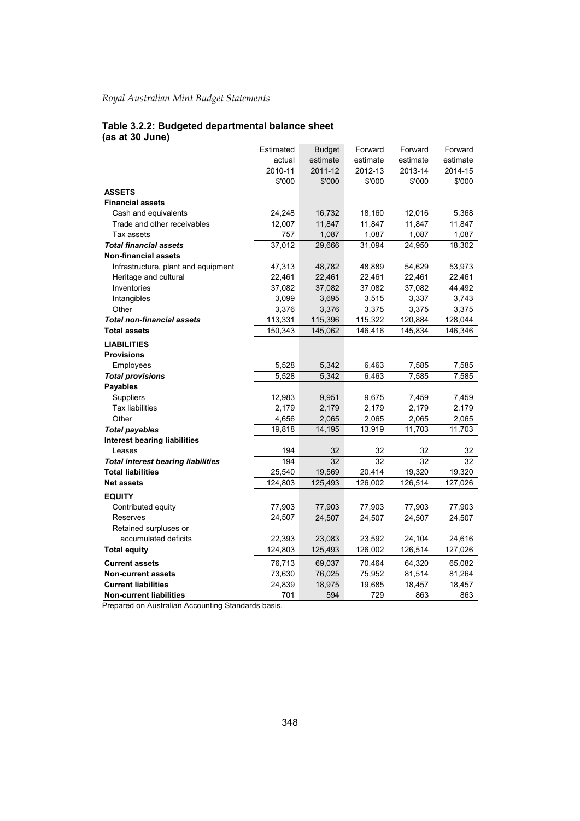#### **Table 3.2.2: Budgeted departmental balance sheet (as at 30 June)**

|                                           | Estimated | <b>Budget</b> | Forward  | Forward  | Forward  |
|-------------------------------------------|-----------|---------------|----------|----------|----------|
|                                           | actual    | estimate      | estimate | estimate | estimate |
|                                           | 2010-11   | 2011-12       | 2012-13  | 2013-14  | 2014-15  |
|                                           | \$'000    | \$'000        | \$'000   | \$'000   | \$'000   |
| <b>ASSETS</b>                             |           |               |          |          |          |
| <b>Financial assets</b>                   |           |               |          |          |          |
| Cash and equivalents                      | 24,248    | 16,732        | 18,160   | 12,016   | 5,368    |
| Trade and other receivables               | 12,007    | 11,847        | 11,847   | 11,847   | 11,847   |
| Tax assets                                | 757       | 1,087         | 1,087    | 1,087    | 1,087    |
| <b>Total financial assets</b>             | 37,012    | 29,666        | 31,094   | 24,950   | 18,302   |
| <b>Non-financial assets</b>               |           |               |          |          |          |
| Infrastructure, plant and equipment       | 47,313    | 48,782        | 48,889   | 54,629   | 53,973   |
| Heritage and cultural                     | 22,461    | 22,461        | 22,461   | 22,461   | 22,461   |
| Inventories                               | 37,082    | 37,082        | 37,082   | 37,082   | 44,492   |
| Intangibles                               | 3,099     | 3,695         | 3,515    | 3,337    | 3,743    |
| Other                                     | 3,376     | 3,376         | 3,375    | 3,375    | 3,375    |
| <b>Total non-financial assets</b>         | 113,331   | 115,396       | 115,322  | 120,884  | 128,044  |
| <b>Total assets</b>                       | 150,343   | 145,062       | 146,416  | 145,834  | 146,346  |
| <b>LIABILITIES</b>                        |           |               |          |          |          |
| <b>Provisions</b>                         |           |               |          |          |          |
| Employees                                 | 5,528     | 5,342         | 6,463    | 7,585    | 7,585    |
| <b>Total provisions</b>                   | 5,528     | 5,342         | 6,463    | 7,585    | 7,585    |
| <b>Payables</b>                           |           |               |          |          |          |
| Suppliers                                 | 12,983    | 9,951         | 9,675    | 7,459    | 7,459    |
| <b>Tax liabilities</b>                    | 2,179     | 2,179         | 2,179    | 2,179    | 2,179    |
| Other                                     | 4,656     | 2,065         | 2,065    | 2,065    | 2,065    |
| <b>Total payables</b>                     | 19,818    | 14,195        | 13,919   | 11,703   | 11,703   |
| <b>Interest bearing liabilities</b>       |           |               |          |          |          |
| Leases                                    | 194       | 32            | 32       | 32       | 32       |
| <b>Total interest bearing liabilities</b> | 194       | 32            | 32       | 32       | 32       |
| <b>Total liabilities</b>                  | 25,540    | 19,569        | 20,414   | 19,320   | 19,320   |
| <b>Net assets</b>                         | 124,803   | 125,493       | 126,002  | 126,514  | 127,026  |
| <b>EQUITY</b>                             |           |               |          |          |          |
| Contributed equity                        | 77,903    | 77,903        | 77,903   | 77,903   | 77,903   |
| Reserves                                  | 24,507    | 24,507        | 24,507   | 24,507   | 24,507   |
| Retained surpluses or                     |           |               |          |          |          |
| accumulated deficits                      | 22,393    | 23,083        | 23,592   | 24,104   | 24,616   |
| <b>Total equity</b>                       | 124,803   | 125,493       | 126,002  | 126,514  | 127,026  |
| <b>Current assets</b>                     | 76,713    | 69,037        | 70,464   | 64,320   | 65,082   |
| <b>Non-current assets</b>                 | 73,630    | 76,025        | 75,952   | 81,514   | 81,264   |
| <b>Current liabilities</b>                | 24,839    | 18,975        | 19,685   | 18,457   | 18,457   |
| <b>Non-current liabilities</b>            | 701       | 594           | 729      | 863      | 863      |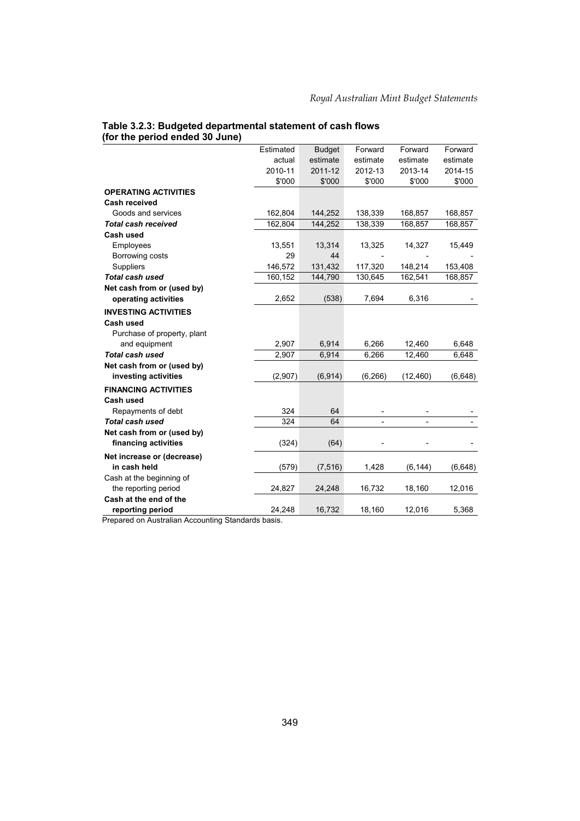| Table 3.2.3: Budgeted departmental statement of cash flows |  |
|------------------------------------------------------------|--|
| (for the period ended 30 June)                             |  |

|                             | Estimated | <b>Budget</b> | Forward  | Forward   | Forward  |
|-----------------------------|-----------|---------------|----------|-----------|----------|
|                             | actual    | estimate      | estimate | estimate  | estimate |
|                             | 2010-11   | 2011-12       | 2012-13  | 2013-14   | 2014-15  |
|                             | \$'000    | \$'000        | \$'000   | \$'000    | \$'000   |
| <b>OPERATING ACTIVITIES</b> |           |               |          |           |          |
| <b>Cash received</b>        |           |               |          |           |          |
| Goods and services          | 162,804   | 144,252       | 138,339  | 168,857   | 168,857  |
| <b>Total cash received</b>  | 162,804   | 144,252       | 138,339  | 168,857   | 168,857  |
| Cash used                   |           |               |          |           |          |
| Employees                   | 13,551    | 13,314        | 13,325   | 14,327    | 15,449   |
| Borrowing costs             | 29        | 44            |          |           |          |
| <b>Suppliers</b>            | 146,572   | 131,432       | 117,320  | 148,214   | 153,408  |
| Total cash used             | 160,152   | 144,790       | 130,645  | 162,541   | 168,857  |
| Net cash from or (used by)  |           |               |          |           |          |
| operating activities        | 2,652     | (538)         | 7,694    | 6,316     |          |
| <b>INVESTING ACTIVITIES</b> |           |               |          |           |          |
| Cash used                   |           |               |          |           |          |
| Purchase of property, plant |           |               |          |           |          |
| and equipment               | 2,907     | 6,914         | 6,266    | 12,460    | 6,648    |
| <b>Total cash used</b>      | 2,907     | 6,914         | 6,266    | 12,460    | 6,648    |
| Net cash from or (used by)  |           |               |          |           |          |
| investing activities        | (2,907)   | (6, 914)      | (6, 266) | (12, 460) | (6,648)  |
| <b>FINANCING ACTIVITIES</b> |           |               |          |           |          |
| Cash used                   |           |               |          |           |          |
| Repayments of debt          | 324       | 64            |          |           |          |
| <b>Total cash used</b>      | 324       | 64            |          |           |          |
| Net cash from or (used by)  |           |               |          |           |          |
| financing activities        | (324)     | (64)          |          |           |          |
| Net increase or (decrease)  |           |               |          |           |          |
| in cash held                | (579)     | (7, 516)      | 1,428    | (6, 144)  | (6,648)  |
| Cash at the beginning of    |           |               |          |           |          |
| the reporting period        | 24,827    | 24,248        | 16,732   | 18,160    | 12,016   |
| Cash at the end of the      |           |               |          |           |          |
| reporting period            | 24,248    | 16,732        | 18,160   | 12,016    | 5,368    |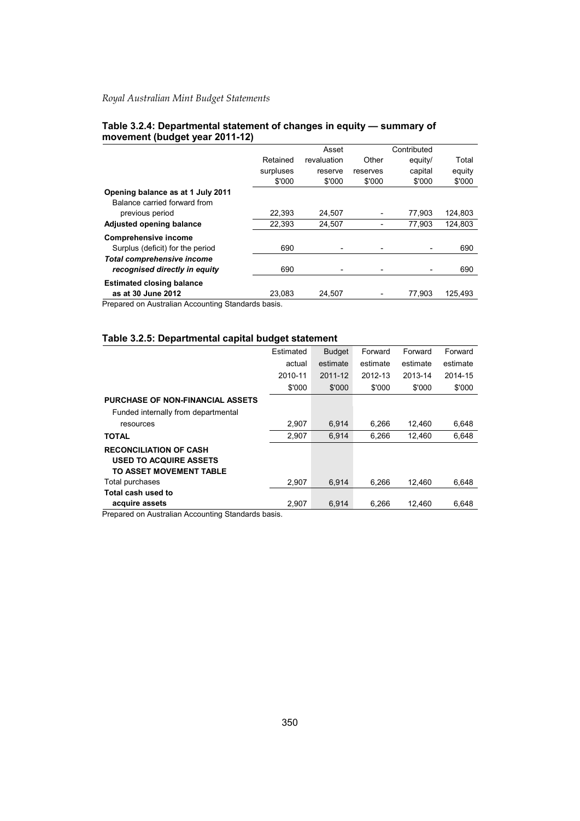|                                                              |           | Asset       |          | Contributed |         |
|--------------------------------------------------------------|-----------|-------------|----------|-------------|---------|
|                                                              | Retained  | revaluation | Other    | equity/     | Total   |
|                                                              | surpluses | reserve     | reserves | capital     | equity  |
|                                                              | \$'000    | \$'000      | \$'000   | \$'000      | \$'000  |
| Opening balance as at 1 July 2011                            |           |             |          |             |         |
| Balance carried forward from                                 |           |             |          |             |         |
| previous period                                              | 22,393    | 24,507      |          | 77,903      | 124,803 |
| Adjusted opening balance                                     | 22.393    | 24.507      |          | 77.903      | 124,803 |
| <b>Comprehensive income</b>                                  |           |             |          |             |         |
| Surplus (deficit) for the period                             | 690       |             |          |             | 690     |
| <b>Total comprehensive income</b>                            |           |             |          |             |         |
| recognised directly in equity                                | 690       |             |          |             | 690     |
| <b>Estimated closing balance</b>                             |           |             |          |             |         |
| as at 30 June 2012                                           | 23.083    | 24,507      |          | 77.903      | 125.493 |
| Descended to Acceleration Accessories of Office deads to sta |           |             |          |             |         |

#### **Table 3.2.4: Departmental statement of changes in equity — summary of movement (budget year 2011-12)**

Prepared on Australian Accounting Standards basis.

## **Table 3.2.5: Departmental capital budget statement**

|                                                                                           | Estimated | <b>Budget</b> | Forward  | Forward  | Forward  |
|-------------------------------------------------------------------------------------------|-----------|---------------|----------|----------|----------|
|                                                                                           | actual    | estimate      | estimate | estimate | estimate |
|                                                                                           | 2010-11   | 2011-12       | 2012-13  | 2013-14  | 2014-15  |
|                                                                                           | \$'000    | \$'000        | \$'000   | \$'000   | \$'000   |
| <b>PURCHASE OF NON-FINANCIAL ASSETS</b>                                                   |           |               |          |          |          |
| Funded internally from departmental                                                       |           |               |          |          |          |
| resources                                                                                 | 2.907     | 6.914         | 6.266    | 12,460   | 6,648    |
| <b>TOTAL</b>                                                                              | 2.907     | 6.914         | 6.266    | 12.460   | 6,648    |
| <b>RECONCILIATION OF CASH</b><br><b>USED TO ACQUIRE ASSETS</b><br>TO ASSET MOVEMENT TABLE |           |               |          |          |          |
| Total purchases                                                                           | 2.907     | 6.914         | 6.266    | 12.460   | 6.648    |
| Total cash used to                                                                        |           |               |          |          |          |
| acquire assets                                                                            | 2.907     | 6.914         | 6.266    | 12.460   | 6.648    |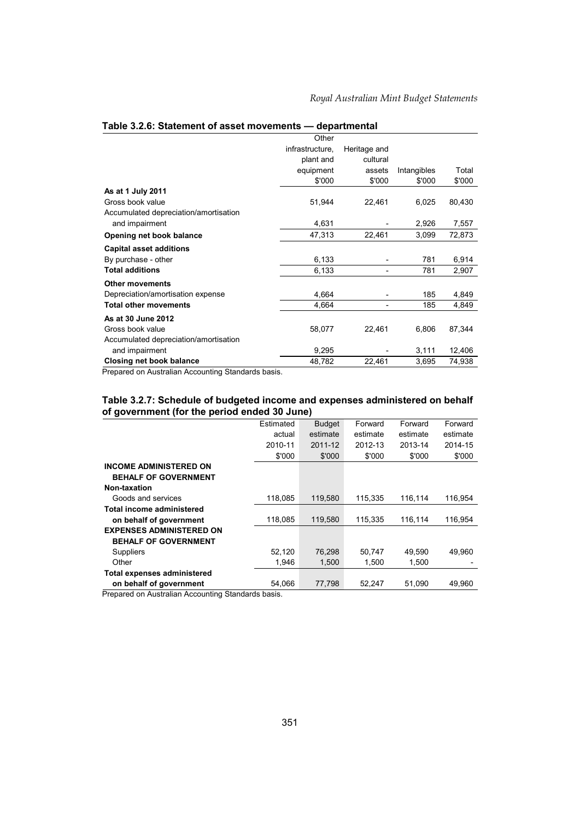|                                       | Other           |                              |             |        |
|---------------------------------------|-----------------|------------------------------|-------------|--------|
|                                       | infrastructure, | Heritage and                 |             |        |
|                                       |                 |                              |             |        |
|                                       | plant and       | cultural                     |             |        |
|                                       | equipment       | assets                       | Intangibles | Total  |
|                                       | \$'000          | \$'000                       | \$'000      | \$'000 |
| As at 1 July 2011                     |                 |                              |             |        |
| Gross book value                      | 51,944          | 22,461                       | 6,025       | 80,430 |
| Accumulated depreciation/amortisation |                 |                              |             |        |
| and impairment                        | 4,631           |                              | 2,926       | 7,557  |
| Opening net book balance              | 47,313          | 22,461                       | 3,099       | 72,873 |
| <b>Capital asset additions</b>        |                 |                              |             |        |
| By purchase - other                   | 6,133           |                              | 781         | 6,914  |
| <b>Total additions</b>                | 6,133           | $\qquad \qquad \blacksquare$ | 781         | 2,907  |
| <b>Other movements</b>                |                 |                              |             |        |
| Depreciation/amortisation expense     | 4,664           |                              | 185         | 4,849  |
| <b>Total other movements</b>          | 4,664           |                              | 185         | 4,849  |
| As at 30 June 2012                    |                 |                              |             |        |
| Gross book value                      | 58,077          | 22,461                       | 6,806       | 87,344 |
| Accumulated depreciation/amortisation |                 |                              |             |        |
| and impairment                        | 9,295           |                              | 3,111       | 12,406 |
| <b>Closing net book balance</b>       | 48,782          | 22,461                       | 3,695       | 74,938 |

#### **Table 3.2.6: Statement of asset movements — departmental**

Prepared on Australian Accounting Standards basis.

#### **Table 3.2.7: Schedule of budgeted income and expenses administered on behalf of government (for the period ended 30 June)**

|                                    | Estimated | <b>Budget</b> | Forward  | Forward  | Forward  |
|------------------------------------|-----------|---------------|----------|----------|----------|
|                                    | actual    | estimate      | estimate | estimate | estimate |
|                                    | 2010-11   | 2011-12       | 2012-13  | 2013-14  | 2014-15  |
|                                    | \$'000    | \$'000        | \$'000   | \$'000   | \$'000   |
| <b>INCOME ADMINISTERED ON</b>      |           |               |          |          |          |
| <b>BEHALF OF GOVERNMENT</b>        |           |               |          |          |          |
| Non-taxation                       |           |               |          |          |          |
| Goods and services                 | 118,085   | 119,580       | 115,335  | 116,114  | 116,954  |
| Total income administered          |           |               |          |          |          |
| on behalf of government            | 118.085   | 119,580       | 115.335  | 116,114  | 116,954  |
| <b>EXPENSES ADMINISTERED ON</b>    |           |               |          |          |          |
| <b>BEHALF OF GOVERNMENT</b>        |           |               |          |          |          |
| <b>Suppliers</b>                   | 52,120    | 76,298        | 50,747   | 49,590   | 49,960   |
| Other                              | 1.946     | 1,500         | 1,500    | 1,500    |          |
| <b>Total expenses administered</b> |           |               |          |          |          |
| on behalf of government            | 54.066    | 77,798        | 52,247   | 51,090   | 49,960   |
| .                                  |           |               |          |          |          |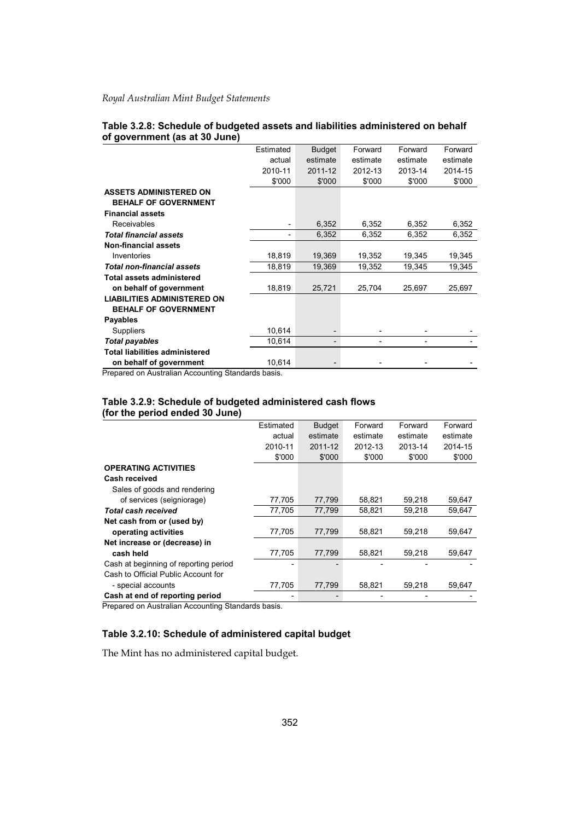|                                       | Estimated | <b>Budget</b>                | Forward  | Forward  | Forward  |
|---------------------------------------|-----------|------------------------------|----------|----------|----------|
|                                       | actual    | estimate                     | estimate | estimate | estimate |
|                                       | 2010-11   | 2011-12                      | 2012-13  | 2013-14  | 2014-15  |
|                                       | \$'000    | \$'000                       | \$'000   | \$'000   | \$'000   |
| <b>ASSETS ADMINISTERED ON</b>         |           |                              |          |          |          |
| <b>BEHALF OF GOVERNMENT</b>           |           |                              |          |          |          |
| <b>Financial assets</b>               |           |                              |          |          |          |
| <b>Receivables</b>                    |           | 6,352                        | 6,352    | 6,352    | 6,352    |
| <b>Total financial assets</b>         |           | 6,352                        | 6,352    | 6,352    | 6,352    |
| <b>Non-financial assets</b>           |           |                              |          |          |          |
| Inventories                           | 18,819    | 19,369                       | 19,352   | 19,345   | 19,345   |
| <b>Total non-financial assets</b>     | 18,819    | 19,369                       | 19,352   | 19,345   | 19,345   |
| <b>Total assets administered</b>      |           |                              |          |          |          |
| on behalf of government               | 18,819    | 25,721                       | 25.704   | 25,697   | 25,697   |
| <b>LIABILITIES ADMINISTERED ON</b>    |           |                              |          |          |          |
| <b>BEHALF OF GOVERNMENT</b>           |           |                              |          |          |          |
| <b>Payables</b>                       |           |                              |          |          |          |
| Suppliers                             | 10,614    | $\overline{\phantom{a}}$     |          |          |          |
| <b>Total payables</b>                 | 10,614    | $\qquad \qquad \blacksquare$ |          |          |          |
| <b>Total liabilities administered</b> |           |                              |          |          |          |
| on behalf of government               | 10,614    |                              |          |          |          |

#### **Table 3.2.8: Schedule of budgeted assets and liabilities administered on behalf of government (as at 30 June)**

Prepared on Australian Accounting Standards basis.

#### **Table 3.2.9: Schedule of budgeted administered cash flows (for the period ended 30 June)**

|                                       | Estimated | <b>Budget</b> | Forward  | Forward  | Forward  |
|---------------------------------------|-----------|---------------|----------|----------|----------|
|                                       | actual    | estimate      | estimate | estimate | estimate |
|                                       | 2010-11   | 2011-12       | 2012-13  | 2013-14  | 2014-15  |
|                                       | \$'000    | \$'000        | \$'000   | \$'000   | \$'000   |
| <b>OPERATING ACTIVITIES</b>           |           |               |          |          |          |
| Cash received                         |           |               |          |          |          |
| Sales of goods and rendering          |           |               |          |          |          |
| of services (seigniorage)             | 77,705    | 77,799        | 58,821   | 59,218   | 59,647   |
| <b>Total cash received</b>            | 77.705    | 77.799        | 58,821   | 59.218   | 59.647   |
| Net cash from or (used by)            |           |               |          |          |          |
| operating activities                  | 77.705    | 77,799        | 58.821   | 59,218   | 59,647   |
| Net increase or (decrease) in         |           |               |          |          |          |
| cash held                             | 77,705    | 77,799        | 58,821   | 59,218   | 59,647   |
| Cash at beginning of reporting period |           |               |          |          |          |
| Cash to Official Public Account for   |           |               |          |          |          |
| - special accounts                    | 77,705    | 77,799        | 58,821   | 59,218   | 59.647   |
| Cash at end of reporting period       |           |               |          |          |          |

Prepared on Australian Accounting Standards basis.

### **Table 3.2.10: Schedule of administered capital budget**

The Mint has no administered capital budget.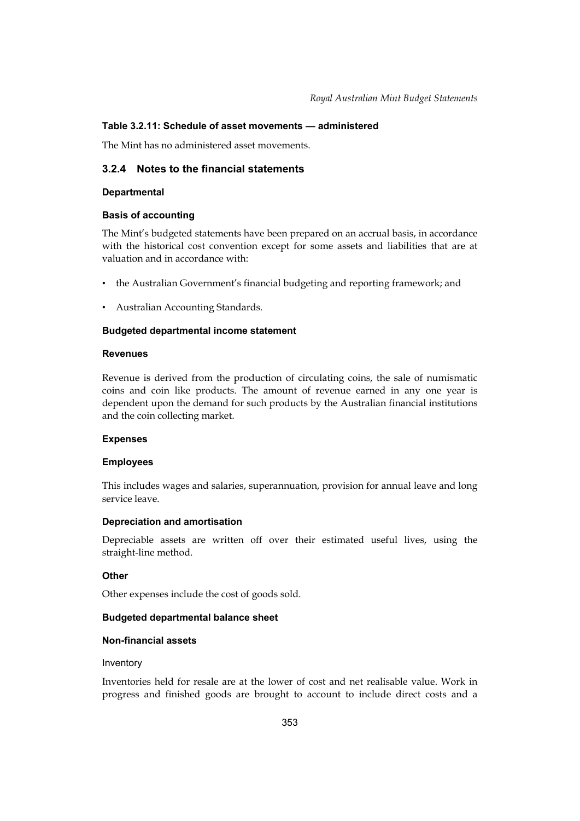### **Table 3.2.11: Schedule of asset movements — administered**

The Mint has no administered asset movements.

## **3.2.4 Notes to the financial statements**

#### **Departmental**

#### **Basis of accounting**

 The Mint's budgeted statements have been prepared on an accrual basis, in accordance with the historical cost convention except for some assets and liabilities that are at valuation and in accordance with:

- the Australian Government's financial budgeting and reporting framework; and
- Australian Accounting Standards.

#### **Budgeted departmental income statement**

#### **Revenues**

Revenue is derived from the production of circulating coins, the sale of numismatic coins and coin like products. The amount of revenue earned in any one year is dependent upon the demand for such products by the Australian financial institutions and the coin collecting market.

#### **Expenses**

#### **Employees**

This includes wages and salaries, superannuation, provision for annual leave and long service leave.

#### **Depreciation and amortisation**

Depreciable assets are written off over their estimated useful lives, using the straight-line method.

#### **Other**

Other expenses include the cost of goods sold.

#### **Budgeted departmental balance sheet**

#### **Non-financial assets**

#### Inventory

Inventories held for resale are at the lower of cost and net realisable value. Work in progress and finished goods are brought to account to include direct costs and a